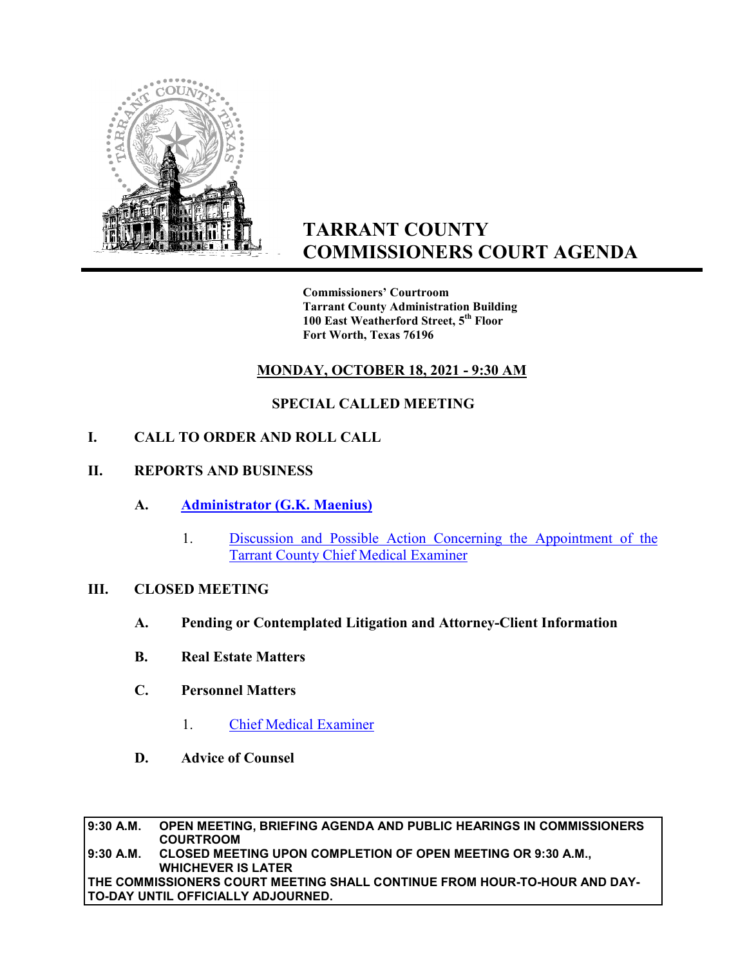

# **TARRANT COUNTY COMMISSIONERS COURT AGENDA**

**Commissioners' Courtroom Tarrant County Administration Building 100 East Weatherford Street, 5th Floor Fort Worth, Texas 76196**

## **MONDAY, OCTOBER 18, 2021 - 9:30 AM**

## **SPECIAL CALLED MEETING**

### **I. CALL TO ORDER AND ROLL CALL**

#### **II. REPORTS AND BUSINESS**

- **A. Administrator (G.K. Maenius)**
	- 1. Discussion and Possible Action Concerning the Appointment of the Tarrant County Chief Medical Examiner

#### **III. CLOSED MEETING**

- **A. Pending or Contemplated Litigation and Attorney-Client Information**
- **B. Real Estate Matters**
- **C. Personnel Matters** 
	- 1. Chief Medical Examiner
- **D. Advice of Counsel**

**9:30 A.M. OPEN MEETING, BRIEFING AGENDA AND PUBLIC HEARINGS IN COMMISSIONERS COURTROOM 9:30 A.M. CLOSED MEETING UPON COMPLETION OF OPEN MEETING OR 9:30 A.M., WHICHEVER IS LATER THE COMMISSIONERS COURT MEETING SHALL CONTINUE FROM HOUR-TO-HOUR AND DAY-TO-DAY UNTIL OFFICIALLY ADJOURNED.**